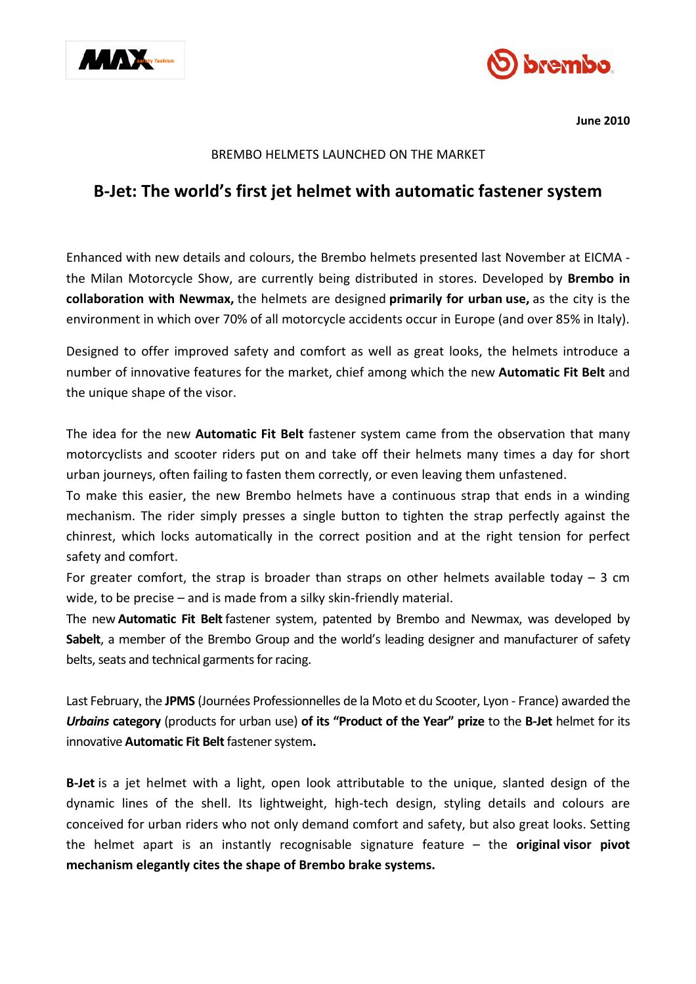



**June 2010**

## BREMBO HELMETS LAUNCHED ON THE MARKET

# **B-Jet: The world's first jet helmet with automatic fastener system**

Enhanced with new details and colours, the Brembo helmets presented last November at EICMA the Milan Motorcycle Show, are currently being distributed in stores. Developed by **Brembo in collaboration with Newmax,** the helmets are designed **primarily for urban use,** as the city is the environment in which over 70% of all motorcycle accidents occur in Europe (and over 85% in Italy).

Designed to offer improved safety and comfort as well as great looks, the helmets introduce a number of innovative features for the market, chief among which the new **Automatic Fit Belt** and the unique shape of the visor.

The idea for the new **Automatic Fit Belt** fastener system came from the observation that many motorcyclists and scooter riders put on and take off their helmets many times a day for short urban journeys, often failing to fasten them correctly, or even leaving them unfastened.

To make this easier, the new Brembo helmets have a continuous strap that ends in a winding mechanism. The rider simply presses a single button to tighten the strap perfectly against the chinrest, which locks automatically in the correct position and at the right tension for perfect safety and comfort.

For greater comfort, the strap is broader than straps on other helmets available today  $-3$  cm wide, to be precise – and is made from a silky skin-friendly material.

The new **Automatic Fit Belt**fastener system, patented by Brembo and Newmax, was developed by **Sabelt**, a member of the Brembo Group and the world's leading designer and manufacturer of safety belts, seats and technical garments for racing.

Last February, the **JPMS** (Journées Professionnelles de la Moto et du Scooter, Lyon - France) awarded the *Urbains* **category** (products for urban use) **of its "Product of the Year" prize** to the **B-Jet** helmet for its innovative **Automatic Fit Belt**fastener system**.**

**B-Jet** is a jet helmet with a light, open look attributable to the unique, slanted design of the dynamic lines of the shell. Its lightweight, high-tech design, styling details and colours are conceived for urban riders who not only demand comfort and safety, but also great looks. Setting the helmet apart is an instantly recognisable signature feature – the **original visor pivot mechanism elegantly cites the shape of Brembo brake systems.**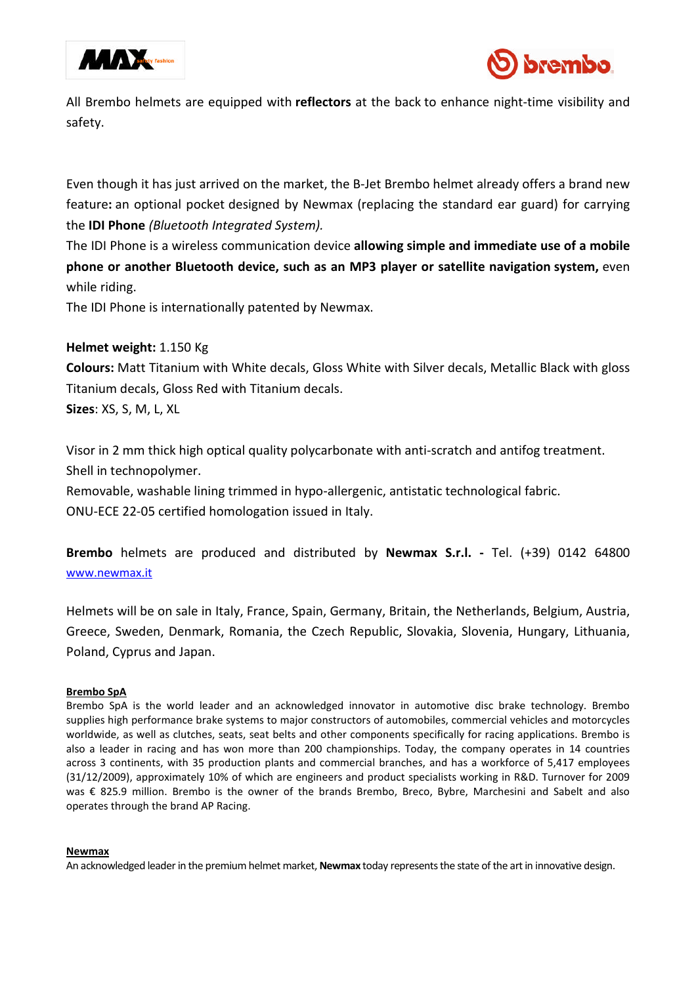



All Brembo helmets are equipped with **reflectors** at the back to enhance night-time visibility and safety.

Even though it has just arrived on the market, the B-Jet Brembo helmet already offers a brand new feature**:** an optional pocket designed by Newmax (replacing the standard ear guard) for carrying the **IDI Phone** *(Bluetooth Integrated System).*

The IDI Phone is a wireless communication device **allowing simple and immediate use of a mobile phone or another Bluetooth device, such as an MP3 player or satellite navigation system,** even while riding.

The IDI Phone is internationally patented by Newmax.

## **Helmet weight:** 1.150 Kg

**Colours:** Matt Titanium with White decals, Gloss White with Silver decals, Metallic Black with gloss Titanium decals, Gloss Red with Titanium decals.

**Sizes**: XS, S, M, L, XL

Visor in 2 mm thick high optical quality polycarbonate with anti-scratch and antifog treatment. Shell in technopolymer.

Removable, washable lining trimmed in hypo-allergenic, antistatic technological fabric. ONU-ECE 22-05 certified homologation issued in Italy.

**Brembo** helmets are produced and distributed by **Newmax S.r.l. -** Tel. (+39) 0142 64800 www.newmax.it

Helmets will be on sale in Italy, France, Spain, Germany, Britain, the Netherlands, Belgium, Austria, Greece, Sweden, Denmark, Romania, the Czech Republic, Slovakia, Slovenia, Hungary, Lithuania, Poland, Cyprus and Japan.

### **Brembo SpA**

Brembo SpA is the world leader and an acknowledged innovator in automotive disc brake technology. Brembo supplies high performance brake systems to major constructors of automobiles, commercial vehicles and motorcycles worldwide, as well as clutches, seats, seat belts and other components specifically for racing applications. Brembo is also a leader in racing and has won more than 200 championships. Today, the company operates in 14 countries across 3 continents, with 35 production plants and commercial branches, and has a workforce of 5,417 employees (31/12/2009), approximately 10% of which are engineers and product specialists working in R&D. Turnover for 2009 was € 825.9 million. Brembo is the owner of the brands Brembo, Breco, Bybre, Marchesini and Sabelt and also operates through the brand AP Racing.

### **Newmax**

An acknowledged leader in the premium helmet market, **Newmax** today represents the state of the art in innovative design.